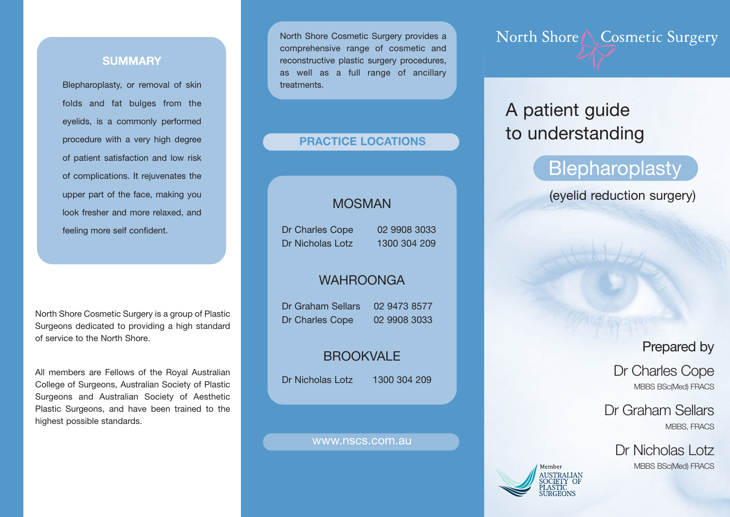### **SUMMARY**

Blepharoplasty, or removal of skin folds and fat bulges from the eyelids, is a commonly performed procedure with a very high degree of patient satisfaction and low risk of complications. It rejuvenates the upper part of the face, making you look fresher and more relaxed, and feeling more self confident.

North Shore Cosmetic Surgery is a group of Plastic Surgeons dedicated to providing a high standard of service to the North Shore.

All members are Fellows of the Royal Australian College of Surgeons, Australian Society of Plastic Surgeons and Australian Society of Aesthetic Plastic Surgeons, and have been trained to the highest possible standards.

North Shore Cosmetic Surgery provides a comprehensive range of cosmetic and reconstructive plastic surgery procedures, as well as a full range of ancillary **treatments** 

### **PRACTICE LOCATIONS**

# MOSMAN

Dr Charles Cope 02 9908 3033 Dr Nicholas Lotz 1300 304 209

### WAHROONGA

Dr Graham Sellars 02 9473 8577 Dr Charles Cope 02 9908 3033

# **BROOKVALE**

Dr Nicholas Lotz 1300 304 209

#### www.nscs.com.au

North Shore \ Cosmetic Surgery

# A patient guide to understanding

# **Blepharoplasty**

(eyelid reduction surgery)

# Prepared by

Dr Charles Cope MBBS BSc(Med) FRACS

Dr Graham Sellars MBBS, FRACS

Dr Nicholas Lotz MBBS BSc(Med) FRACS